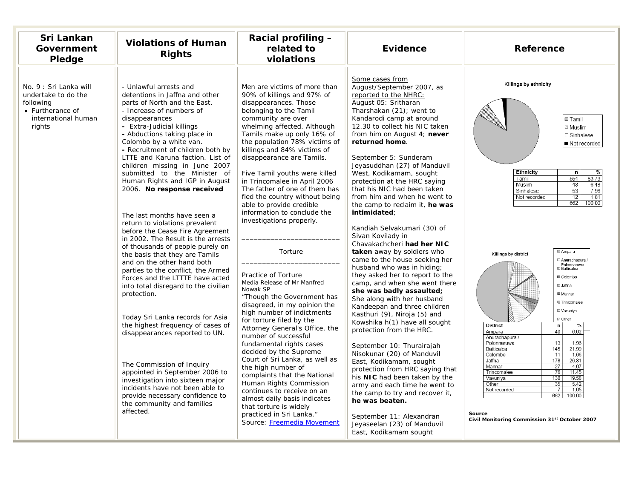| Sri Lankan<br>Government<br>Pledge                                                                              | <b>Violations of Human</b><br><b>Rights</b>                                                                                                                                                                                                                                                                                                                                                                                                                                                                                                                                                                                                                                                                                                                                                                                                                                                                                                                                                                                                                                                                                                           | Racial profiling -<br>related to<br>violations                                                                                                                                                                                                                                                                                                                                                                                                                                                                                                                                                                                                                                                                                                                                                                                                                                                                                                                                                                                                                                                                     | <b>Evidence</b>                                                                                                                                                                                                                                                                                                                                                                                                                                                                                                                                                                                                                                                                                                                                                                                                                                                                                                                                                                                                                                                                                                                                                                                                                                              | <b>Reference</b>                                                                                                                                                                                                                                                                                                                                                                                                                                                                                                                                                                                                                                                                                                                                                                                                                                                                       |
|-----------------------------------------------------------------------------------------------------------------|-------------------------------------------------------------------------------------------------------------------------------------------------------------------------------------------------------------------------------------------------------------------------------------------------------------------------------------------------------------------------------------------------------------------------------------------------------------------------------------------------------------------------------------------------------------------------------------------------------------------------------------------------------------------------------------------------------------------------------------------------------------------------------------------------------------------------------------------------------------------------------------------------------------------------------------------------------------------------------------------------------------------------------------------------------------------------------------------------------------------------------------------------------|--------------------------------------------------------------------------------------------------------------------------------------------------------------------------------------------------------------------------------------------------------------------------------------------------------------------------------------------------------------------------------------------------------------------------------------------------------------------------------------------------------------------------------------------------------------------------------------------------------------------------------------------------------------------------------------------------------------------------------------------------------------------------------------------------------------------------------------------------------------------------------------------------------------------------------------------------------------------------------------------------------------------------------------------------------------------------------------------------------------------|--------------------------------------------------------------------------------------------------------------------------------------------------------------------------------------------------------------------------------------------------------------------------------------------------------------------------------------------------------------------------------------------------------------------------------------------------------------------------------------------------------------------------------------------------------------------------------------------------------------------------------------------------------------------------------------------------------------------------------------------------------------------------------------------------------------------------------------------------------------------------------------------------------------------------------------------------------------------------------------------------------------------------------------------------------------------------------------------------------------------------------------------------------------------------------------------------------------------------------------------------------------|----------------------------------------------------------------------------------------------------------------------------------------------------------------------------------------------------------------------------------------------------------------------------------------------------------------------------------------------------------------------------------------------------------------------------------------------------------------------------------------------------------------------------------------------------------------------------------------------------------------------------------------------------------------------------------------------------------------------------------------------------------------------------------------------------------------------------------------------------------------------------------------|
| No. 9 : Sri Lanka will<br>undertake to do the<br>following<br>• Furtherance of<br>international human<br>rights | - Unlawful arrests and<br>detentions in Jaffna and other<br>parts of North and the East.<br>- Increase of numbers of<br>disappearances<br>- Extra-Judicial killings<br>- Abductions taking place in<br>Colombo by a white van.<br>- Recruitment of children both by<br>LTTE and Karuna faction. List of<br>children missing in June 2007<br>submitted to the Minister of<br>Human Rights and IGP in August<br>2006. No response received<br>The last months have seen a<br>return to violations prevalent<br>before the Cease Fire Agreement<br>in 2002. The Result is the arrests<br>of thousands of people purely on<br>the basis that they are Tamils<br>and on the other hand both<br>parties to the conflict, the Armed<br>Forces and the LTTTE have acted<br>into total disregard to the civilian<br>protection.<br>Today Sri Lanka records for Asia<br>the highest frequency of cases of<br>disappearances reported to UN.<br>The Commission of Inquiry<br>appointed in September 2006 to<br>investigation into sixteen major<br>incidents have not been able to<br>provide necessary confidence to<br>the community and families<br>affected. | Men are victims of more than<br>90% of killings and 97% of<br>disappearances. Those<br>belonging to the Tamil<br>community are over<br>whelming affected. Although<br>Tamils make up only 16% of<br>the population 78% victims of<br>killings and 84% victims of<br>disappearance are Tamils.<br>Five Tamil youths were killed<br>in Trincomalee in April 2006<br>The father of one of them has<br>fled the country without being<br>able to provide credible<br>information to conclude the<br>investigations properly.<br>Torture<br>Practice of Torture<br>Media Release of Mr Manfred<br>Nowak SP<br>"Though the Government has<br>disagreed, in my opinion the<br>high number of indictments<br>for torture filed by the<br>Attorney General's Office, the<br>number of successful<br>fundamental rights cases<br>decided by the Supreme<br>Court of Sri Lanka, as well as<br>the high number of<br>complaints that the National<br>Human Rights Commission<br>continues to receive on an<br>almost daily basis indicates<br>that torture is widely<br>practiced in Sri Lanka."<br>Source: Freemedia Movement | Some cases from<br>August/September 2007, as<br>reported to the NHRC:<br>August 05: Sritharan<br>Tharshakan (21); went to<br>Kandarodi camp at around<br>12.30 to collect his NIC taken<br>from him on August 4; never<br>returned home.<br>September 5: Sunderam<br>Jeyasuddhan (27) of Manduvil<br>West, Kodikamam, sought<br>protection at the HRC saying<br>that his NIC had been taken<br>from him and when he went to<br>the camp to reclaim it, he was<br>intimidated:<br>Kandiah Selvakumari (30) of<br>Sivan Kovilady in<br>Chavakachcheri had her NIC<br>taken away by soldiers who<br>came to the house seeking her<br>husband who was in hiding;<br>they asked her to report to the<br>camp, and when she went there<br>she was badly assaulted;<br>She along with her husband<br>Kandeepan and three children<br>Kasthuri (9), Niroja (5) and<br>Kowshika h(1) have all sought<br>protection from the HRC.<br>September 10: Thurairajah<br>Nisokunar (20) of Manduvil<br>East, Kodikamam, sought<br>protection from HRC saying that<br>his NIC had been taken by the<br>army and each time he went to<br>the camp to try and recover it,<br>he was beaten.<br>September 11: Alexandran<br>Jeyaseelan (23) of Manduvil<br>East, Kodikamam sought | Killings by ethnicity<br><b>□</b> Tamil<br><b>®</b> Muslim<br>□ Sinhalese<br>Not recorded<br>Ethnicity<br>n<br>83.73<br>Tamil<br>554<br>Muslim<br>43<br>6.48<br>53<br>7.98<br>Sinhalese<br>12<br>1.81<br>Not recorded<br>662<br>100.00<br>⊠ Ampara<br>Killings by district<br>□ Anuradhapura /<br>Polonnaruwa<br><b>ID</b> Batticaloa<br><b>■</b> Colombo<br><b>国 Jaffna</b><br><b>圆 Mannar</b><br><b>SS Trincomalee</b><br><b>El</b> Vavuniya<br><b>Z</b> Other<br><b>District</b><br>n<br>%<br>6.02<br>Ampara<br>40<br>Anuradhapura /<br>13<br>1.96<br>Polonnaruwa<br>21.99<br>Batticaloa<br>145<br>Colombo<br>11<br>1.66<br>178<br>Jaffna<br>26.81<br>Mannar<br>27<br>4.07<br>$\overline{76}$<br>11.45<br>Trincomalee<br>130<br>19.58<br>Vavuniya<br>35<br>$\frac{5.42}{1.05}$<br>Other<br>Not recorded<br>662<br>100.00<br>Source<br>Civil Monitoring Commission 31st October 2007 |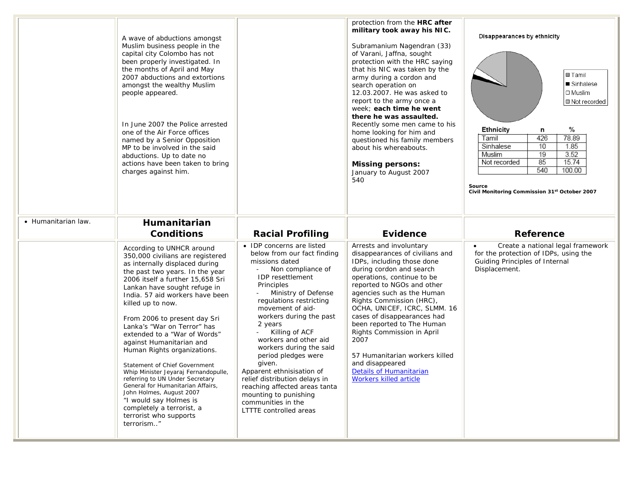|                     | A wave of abductions amongst<br>Muslim business people in the<br>capital city Colombo has not<br>been properly investigated. In<br>the months of April and May<br>2007 abductions and extortions<br>amongst the wealthy Muslim<br>people appeared.<br>In June 2007 the Police arrested<br>one of the Air Force offices<br>named by a Senior Opposition<br>MP to be involved in the said<br>abductions. Up to date no<br>actions have been taken to bring<br>charges against him.                                                                                                                                                                                                                     |                                                                                                                                                                                                                                                                                                                                                                                                                                                                                                                                               | protection from the HRC after<br>military took away his NIC.<br>Subramanium Nagendran (33)<br>of Varani, Jaffna, sought<br>protection with the HRC saying<br>that his NIC was taken by the<br>army during a cordon and<br>search operation on<br>12.03.2007. He was asked to<br>report to the army once a<br>week: each time he went<br>there he was assaulted.<br>Recently some men came to his<br>home looking for him and<br>questioned his family members<br>about his whereabouts.<br><b>Missing persons:</b><br>January to August 2007<br>540 | Disappearances by ethnicity<br><b>E</b> Tamil<br>■ Sinhalese<br>$\square$ Muslim<br>Not recorded<br>%<br>Ethnicity<br>n<br>78.89<br>Tamil<br>426<br>10<br>1.85<br>Sinhalese<br>19<br>3.52<br>Muslim<br>85<br>15.74<br>Not recorded<br>540<br>100.00<br>Source<br>Civil Monitoring Commission 31 <sup>st</sup> October 2007 |
|---------------------|------------------------------------------------------------------------------------------------------------------------------------------------------------------------------------------------------------------------------------------------------------------------------------------------------------------------------------------------------------------------------------------------------------------------------------------------------------------------------------------------------------------------------------------------------------------------------------------------------------------------------------------------------------------------------------------------------|-----------------------------------------------------------------------------------------------------------------------------------------------------------------------------------------------------------------------------------------------------------------------------------------------------------------------------------------------------------------------------------------------------------------------------------------------------------------------------------------------------------------------------------------------|-----------------------------------------------------------------------------------------------------------------------------------------------------------------------------------------------------------------------------------------------------------------------------------------------------------------------------------------------------------------------------------------------------------------------------------------------------------------------------------------------------------------------------------------------------|----------------------------------------------------------------------------------------------------------------------------------------------------------------------------------------------------------------------------------------------------------------------------------------------------------------------------|
| • Humanitarian law. | Humanitarian<br><b>Conditions</b>                                                                                                                                                                                                                                                                                                                                                                                                                                                                                                                                                                                                                                                                    | <b>Racial Profiling</b>                                                                                                                                                                                                                                                                                                                                                                                                                                                                                                                       | <b>Evidence</b>                                                                                                                                                                                                                                                                                                                                                                                                                                                                                                                                     | <b>Reference</b>                                                                                                                                                                                                                                                                                                           |
|                     | According to UNHCR around<br>350,000 civilians are registered<br>as internally displaced during<br>the past two years. In the year<br>2006 itself a further 15,658 Sri<br>Lankan have sought refuge in<br>India. 57 aid workers have been<br>killed up to now.<br>From 2006 to present day Sri<br>Lanka's "War on Terror" has<br>extended to a "War of Words"<br>against Humanitarian and<br>Human Rights organizations.<br>Statement of Chief Government<br>Whip Minister Jeyaraj Fernandopulle,<br>referring to UN Under Secretary<br>General for Humanitarian Affairs,<br>John Holmes, August 2007<br>"I would say Holmes is<br>completely a terrorist, a<br>terrorist who supports<br>terrorism" | • IDP concerns are listed<br>below from our fact finding<br>missions dated<br>Non compliance of<br>$\sim$<br><b>IDP</b> resettlement<br>Principles<br>Ministry of Defense<br>regulations restricting<br>movement of aid-<br>workers during the past<br>2 years<br>Killing of ACF<br>workers and other aid<br>workers during the said<br>period pledges were<br>given.<br>Apparent ethnisisation of<br>relief distribution delays in<br>reaching affected areas tanta<br>mounting to punishing<br>communities in the<br>LTTTE controlled areas | Arrests and involuntary<br>disappearances of civilians and<br>IDPs, including those done<br>during cordon and search<br>operations, continue to be<br>reported to NGOs and other<br>agencies such as the Human<br>Rights Commission (HRC),<br>OCHA, UNICEF, ICRC, SLMM. 16<br>cases of disappearances had<br>been reported to The Human<br>Rights Commission in April<br>2007<br>57 Humanitarian workers killed<br>and disappeared<br><b>Details of Humanitarian</b><br>Workers killed article                                                      | Create a national legal framework<br>$\bullet$<br>for the protection of IDPs, using the<br>Guiding Principles of Internal<br>Displacement.                                                                                                                                                                                 |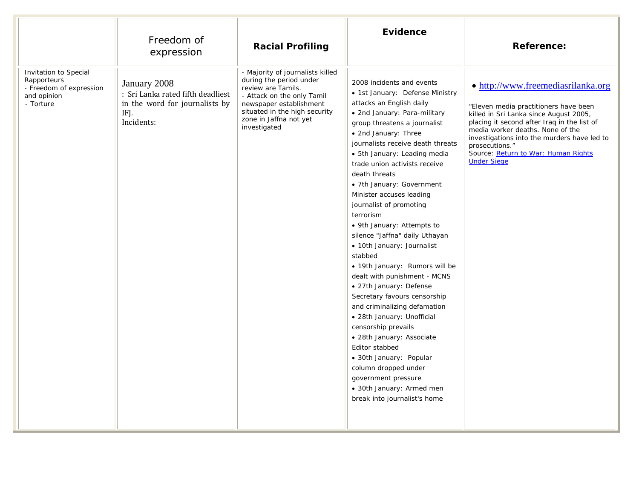|                                                                                             | Freedom of<br>expression                                                                                  | <b>Racial Profiling</b>                                                                                                                                                                                               | Evidence                                                                                                                                                                                                                                                                                                                                                                                                                                                                                                                                                                                                                                                                                                                                                                                                                                                                                                                  | <b>Reference:</b>                                                                                                                                                                                                                                                                                                                      |
|---------------------------------------------------------------------------------------------|-----------------------------------------------------------------------------------------------------------|-----------------------------------------------------------------------------------------------------------------------------------------------------------------------------------------------------------------------|---------------------------------------------------------------------------------------------------------------------------------------------------------------------------------------------------------------------------------------------------------------------------------------------------------------------------------------------------------------------------------------------------------------------------------------------------------------------------------------------------------------------------------------------------------------------------------------------------------------------------------------------------------------------------------------------------------------------------------------------------------------------------------------------------------------------------------------------------------------------------------------------------------------------------|----------------------------------------------------------------------------------------------------------------------------------------------------------------------------------------------------------------------------------------------------------------------------------------------------------------------------------------|
| Invitation to Special<br>Rapporteurs<br>- Freedom of expression<br>and opinion<br>- Torture | January 2008<br>: Sri Lanka rated fifth deadliest<br>in the word for journalists by<br>IFJ.<br>Incidents: | - Majority of journalists killed<br>during the period under<br>review are Tamils.<br>- Attack on the only Tamil<br>newspaper establishment<br>situated in the high security<br>zone in Jaffna not yet<br>investigated | 2008 incidents and events<br>• 1st January: Defense Ministry<br>attacks an English daily<br>· 2nd January: Para-military<br>group threatens a journalist<br>• 2nd January: Three<br>journalists receive death threats<br>• 5th January: Leading media<br>trade union activists receive<br>death threats<br>• 7th January: Government<br>Minister accuses leading<br>journalist of promoting<br>terrorism<br>• 9th January: Attempts to<br>silence "Jaffna" daily Uthayan<br>· 10th January: Journalist<br>stabbed<br>· 19th January: Rumors will be<br>dealt with punishment - MCNS<br>• 27th January: Defense<br>Secretary favours censorship<br>and criminalizing defamation<br>· 28th January: Unofficial<br>censorship prevails<br>· 28th January: Associate<br>Editor stabbed<br>• 30th January: Popular<br>column dropped under<br>government pressure<br>• 30th January: Armed men<br>break into journalist's home | • http://www.freemediasrilanka.org<br>"Eleven media practitioners have been<br>killed in Sri Lanka since August 2005,<br>placing it second after Iraq in the list of<br>media worker deaths. None of the<br>investigations into the murders have led to<br>prosecutions."<br>Source: Return to War: Human Rights<br><b>Under Siege</b> |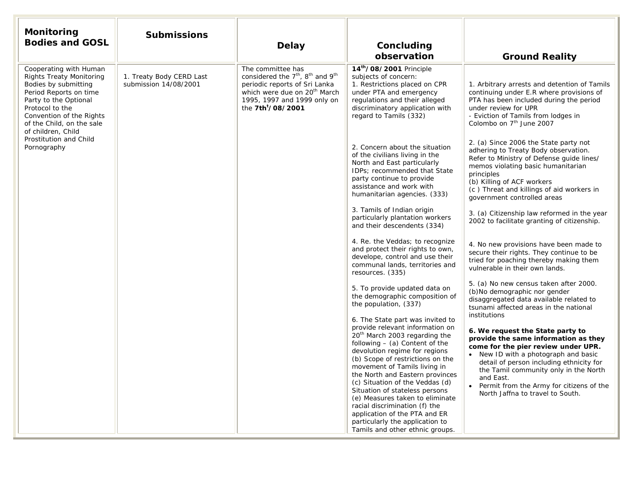| Monitoring<br><b>Bodies and GOSL</b>                                                                                                                                                                                                                                            | <b>Submissions</b>                                | <b>Delay</b>                                                                                                                                                                                                                           | Concluding<br>observation                                                                                                                                                                                                                                                                                                                                                                                                                                                                                                                                                                                                                                                                                                                                                                                                                                                                                                                                                                                                                                                                                                                                                                                                                                                                                                                         | <b>Ground Reality</b>                                                                                                                                                                                                                                                                                                                                                                                                                                                                                                                                                                                                                                                                                                                                                                                                                                                                                                                                                                                                                                                                                                                                                                                                                                                                                                                 |
|---------------------------------------------------------------------------------------------------------------------------------------------------------------------------------------------------------------------------------------------------------------------------------|---------------------------------------------------|----------------------------------------------------------------------------------------------------------------------------------------------------------------------------------------------------------------------------------------|---------------------------------------------------------------------------------------------------------------------------------------------------------------------------------------------------------------------------------------------------------------------------------------------------------------------------------------------------------------------------------------------------------------------------------------------------------------------------------------------------------------------------------------------------------------------------------------------------------------------------------------------------------------------------------------------------------------------------------------------------------------------------------------------------------------------------------------------------------------------------------------------------------------------------------------------------------------------------------------------------------------------------------------------------------------------------------------------------------------------------------------------------------------------------------------------------------------------------------------------------------------------------------------------------------------------------------------------------|---------------------------------------------------------------------------------------------------------------------------------------------------------------------------------------------------------------------------------------------------------------------------------------------------------------------------------------------------------------------------------------------------------------------------------------------------------------------------------------------------------------------------------------------------------------------------------------------------------------------------------------------------------------------------------------------------------------------------------------------------------------------------------------------------------------------------------------------------------------------------------------------------------------------------------------------------------------------------------------------------------------------------------------------------------------------------------------------------------------------------------------------------------------------------------------------------------------------------------------------------------------------------------------------------------------------------------------|
| Cooperating with Human<br><b>Rights Treaty Monitoring</b><br>Bodies by submitting<br>Period Reports on time<br>Party to the Optional<br>Protocol to the<br>Convention of the Rights<br>of the Child, on the sale<br>of children, Child<br>Prostitution and Child<br>Pornography | 1. Treaty Body CERD Last<br>submission 14/08/2001 | The committee has<br>considered the 7 <sup>th</sup> , 8 <sup>th</sup> and 9 <sup>th</sup><br>periodic reports of Sri Lanka<br>which were due on 20 <sup>th</sup> March<br>1995, 1997 and 1999 only on<br>the 7th <sup>t</sup> /08/2001 | 14th/08/2001 Principle<br>subjects of concern:<br>1. Restrictions placed on CPR<br>under PTA and emergency<br>regulations and their alleged<br>discriminatory application with<br>regard to Tamils (332)<br>2. Concern about the situation<br>of the civilians living in the<br>North and East particularly<br>IDPs; recommended that State<br>party continue to provide<br>assistance and work with<br>humanitarian agencies. (333)<br>3. Tamils of Indian origin<br>particularly plantation workers<br>and their descendents (334)<br>4. Re. the Veddas; to recognize<br>and protect their rights to own,<br>develope, control and use their<br>communal lands, territories and<br>resources. (335)<br>5. To provide updated data on<br>the demographic composition of<br>the population, (337)<br>6. The State part was invited to<br>provide relevant information on<br>20 <sup>th</sup> March 2003 regarding the<br>following $-$ (a) Content of the<br>devolution regime for regions<br>(b) Scope of restrictions on the<br>movement of Tamils living in<br>the North and Eastern provinces<br>(c) Situation of the Veddas (d)<br>Situation of stateless persons<br>(e) Measures taken to eliminate<br>racial discrimination (f) the<br>application of the PTA and ER<br>particularly the application to<br>Tamils and other ethnic groups. | 1. Arbitrary arrests and detention of Tamils<br>continuing under E.R where provisions of<br>PTA has been included during the period<br>under review for UPR<br>- Eviction of Tamils from lodges in<br>Colombo on 7 <sup>th</sup> June 2007<br>2. (a) Since 2006 the State party not<br>adhering to Treaty Body observation.<br>Refer to Ministry of Defense guide lines/<br>memos violating basic humanitarian<br>principles<br>(b) Killing of ACF workers<br>(c) Threat and killings of aid workers in<br>government controlled areas<br>3. (a) Citizenship law reformed in the year<br>2002 to facilitate granting of citizenship.<br>4. No new provisions have been made to<br>secure their rights. They continue to be<br>tried for poaching thereby making them<br>vulnerable in their own lands.<br>5. (a) No new census taken after 2000.<br>(b) No demographic nor gender<br>disaggregated data available related to<br>tsunami affected areas in the national<br>institutions<br>6. We request the State party to<br>provide the same information as they<br>come for the pier review under UPR.<br>• New ID with a photograph and basic<br>detail of person including ethnicity for<br>the Tamil community only in the North<br>and East.<br>• Permit from the Army for citizens of the<br>North Jaffna to travel to South. |